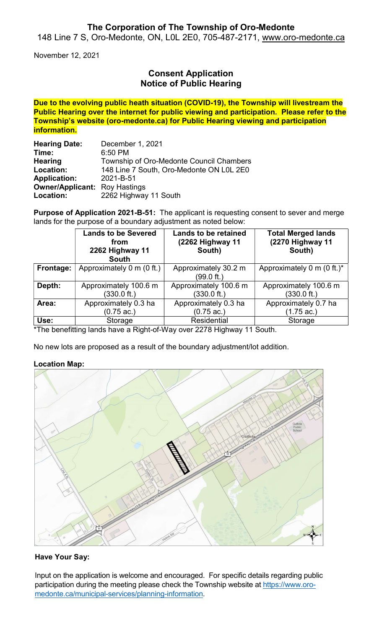## The Corporation of The Township of Oro-Medonte

148 Line 7 S, Oro-Medonte, ON, L0L 2E0, 705-487-2171, www.oro-medonte.ca

November 12, 2021

# Consent Application Notice of Public Hearing

Due to the evolving public heath situation (COVID-19), the Township will livestream the Public Hearing over the internet for public viewing and participation. Please refer to the Township's website (oro-medonte.ca) for Public Hearing viewing and participation information.

| <b>Hearing Date:</b>                 | December 1, 2021                         |  |  |
|--------------------------------------|------------------------------------------|--|--|
| Time:                                | 6:50 PM                                  |  |  |
| <b>Hearing</b>                       | Township of Oro-Medonte Council Chambers |  |  |
| Location:                            | 148 Line 7 South, Oro-Medonte ON L0L 2E0 |  |  |
| <b>Application:</b>                  | 2021-B-51                                |  |  |
| <b>Owner/Applicant: Roy Hastings</b> |                                          |  |  |
| Location:                            | 2262 Highway 11 South                    |  |  |

Purpose of Application 2021-B-51: The applicant is requesting consent to sever and merge lands for the purpose of a boundary adjustment as noted below:

|           | <b>Lands to be Severed</b><br>from<br>2262 Highway 11<br><b>South</b> | <b>Lands to be retained</b><br>(2262 Highway 11<br>South) | <b>Total Merged lands</b><br>(2270 Highway 11<br>South) |
|-----------|-----------------------------------------------------------------------|-----------------------------------------------------------|---------------------------------------------------------|
| Frontage: | Approximately 0 m (0 ft.)                                             | Approximately 30.2 m<br>(99.0 ft.)                        | Approximately 0 m $(0 \text{ ft.})^*$                   |
| Depth:    | Approximately 100.6 m<br>$(330.0 \text{ ft.})$                        | Approximately 100.6 m<br>$(330.0 \text{ ft.})$            | Approximately 100.6 m<br>$(330.0 \text{ ft.})$          |
| Area:     | Approximately 0.3 ha<br>$(0.75 \text{ ac.})$                          | Approximately 0.3 ha<br>$(0.75 \text{ ac.})$              | Approximately 0.7 ha<br>(1.75 ac.)                      |
| Use:      | Storage                                                               | <b>Residential</b>                                        | Storage                                                 |

\*The benefitting lands have a Right-of-Way over 2278 Highway 11 South.

No new lots are proposed as a result of the boundary adjustment/lot addition.

### Location Map:



### Have Your Say:

Input on the application is welcome and encouraged. For specific details regarding public participation during the meeting please check the Township website at https://www.oromedonte.ca/municipal-services/planning-information.